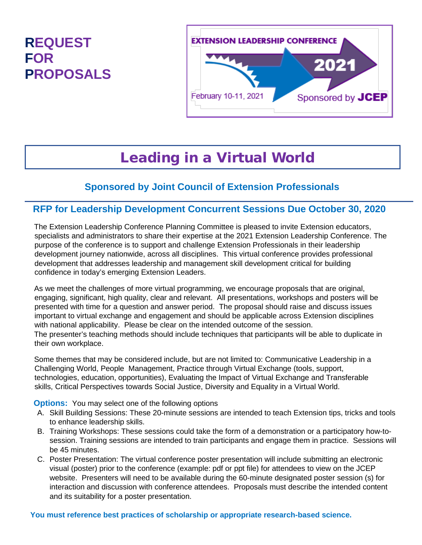## **REQUEST FOR PROPOSALS**



# Leading in a Virtual World

## **Sponsored by Joint Council of Extension Professionals**

#### **RFP for Leadership Development Concurrent Sessions Due October 30, 2020**

The Extension Leadership Conference Planning Committee is pleased to invite Extension educators, specialists and administrators to share their expertise at the 2021 Extension Leadership Conference. The purpose of the conference is to support and challenge Extension Professionals in their leadership development journey nationwide, across all disciplines. This virtual conference provides professional development that addresses leadership and management skill development critical for building confidence in today's emerging Extension Leaders.

As we meet the challenges of more virtual programming, we encourage proposals that are original, engaging, significant, high quality, clear and relevant. All presentations, workshops and posters will be presented with time for a question and answer period. The proposal should raise and discuss issues important to virtual exchange and engagement and should be applicable across Extension disciplines with national applicability. Please be clear on the intended outcome of the session. The presenter's teaching methods should include techniques that participants will be able to duplicate in their own workplace.

Some themes that may be considered include, but are not limited to: Communicative Leadership in a Challenging World, People Management, Practice through Virtual Exchange (tools, support, technologies, education, opportunities), Evaluating the Impact of Virtual Exchange and Transferable skills, Critical Perspectives towards Social Justice, Diversity and Equality in a Virtual World.

**Options:** You may select one of the following options

- A. Skill Building Sessions: These 20-minute sessions are intended to teach Extension tips, tricks and tools to enhance leadership skills.
- B. Training Workshops: These sessions could take the form of a demonstration or a participatory how-tosession. Training sessions are intended to train participants and engage them in practice. Sessions will be 45 minutes.
- C. Poster Presentation: The virtual conference poster presentation will include submitting an electronic visual (poster) prior to the conference (example: pdf or ppt file) for attendees to view on the JCEP website. Presenters will need to be available during the 60-minute designated poster session (s) for interaction and discussion with conference attendees. Proposals must describe the intended content and its suitability for a poster presentation.

**You must reference best practices of scholarship or appropriate research-based science.**